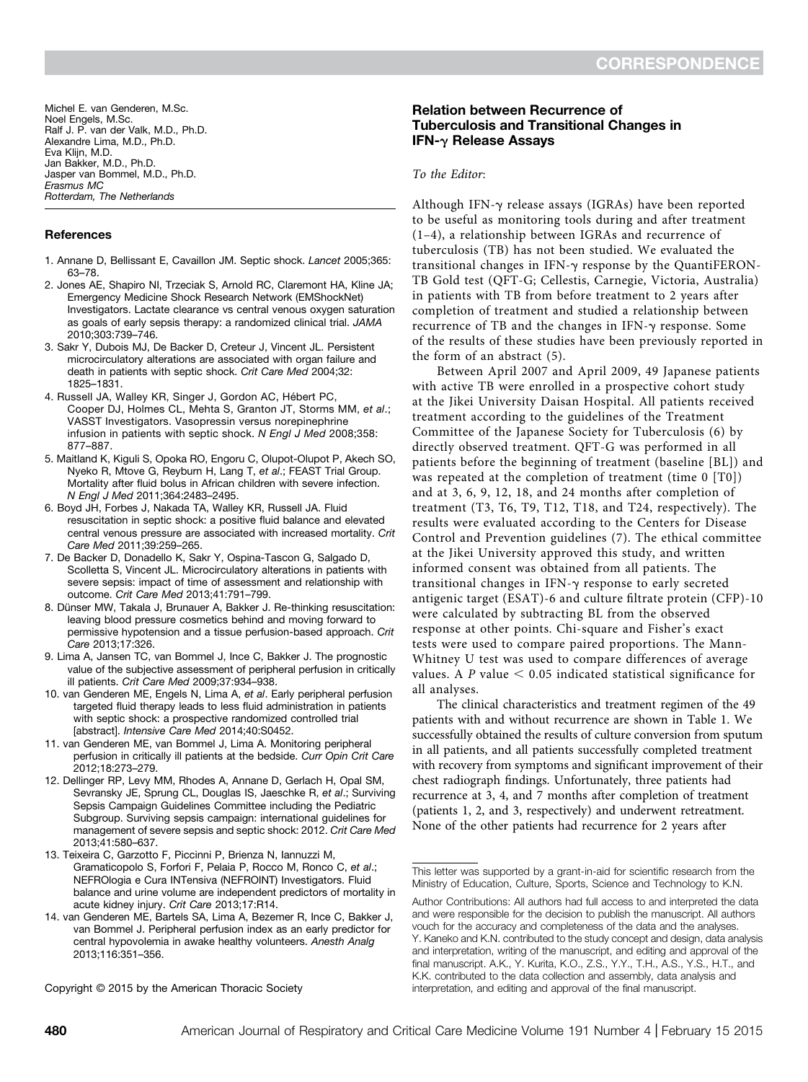Michel E. van Genderen, M.Sc. Noel Engels, M.Sc. Ralf J. P. van der Valk, M.D., Ph.D. Alexandre Lima, M.D., Ph.D. Eva Klijn, M.D. Jan Bakker, M.D., Ph.D. Jasper van Bommel, M.D., Ph.D. Erasmus MC Rotterdam, The Netherlands

### References

- 1. Annane D, Bellissant E, Cavaillon JM. Septic shock. Lancet 2005;365: 63–78.
- 2. Jones AE, Shapiro NI, Trzeciak S, Arnold RC, Claremont HA, Kline JA; Emergency Medicine Shock Research Network (EMShockNet) Investigators. Lactate clearance vs central venous oxygen saturation as goals of early sepsis therapy: a randomized clinical trial. JAMA 2010;303:739–746.
- 3. Sakr Y, Dubois MJ, De Backer D, Creteur J, Vincent JL. Persistent microcirculatory alterations are associated with organ failure and death in patients with septic shock. Crit Care Med 2004;32: 1825–1831.
- 4. Russell JA, Walley KR, Singer J, Gordon AC, Hébert PC, Cooper DJ, Holmes CL, Mehta S, Granton JT, Storms MM, et al.; VASST Investigators. Vasopressin versus norepinephrine infusion in patients with septic shock. N Engl J Med 2008;358: 877–887.
- 5. Maitland K, Kiguli S, Opoka RO, Engoru C, Olupot-Olupot P, Akech SO, Nyeko R, Mtove G, Reyburn H, Lang T, et al.; FEAST Trial Group. Mortality after fluid bolus in African children with severe infection. N Engl J Med 2011;364:2483–2495.
- 6. Boyd JH, Forbes J, Nakada TA, Walley KR, Russell JA. Fluid resuscitation in septic shock: a positive fluid balance and elevated central venous pressure are associated with increased mortality. Crit Care Med 2011;39:259–265.
- 7. De Backer D, Donadello K, Sakr Y, Ospina-Tascon G, Salgado D, Scolletta S, Vincent JL. Microcirculatory alterations in patients with severe sepsis: impact of time of assessment and relationship with outcome. Crit Care Med 2013;41:791–799.
- 8. Dünser MW, Takala J, Brunauer A, Bakker J. Re-thinking resuscitation: leaving blood pressure cosmetics behind and moving forward to permissive hypotension and a tissue perfusion-based approach. Crit Care 2013;17:326.
- 9. Lima A, Jansen TC, van Bommel J, Ince C, Bakker J. The prognostic value of the subjective assessment of peripheral perfusion in critically ill patients. Crit Care Med 2009;37:934–938.
- 10. van Genderen ME, Engels N, Lima A, et al. Early peripheral perfusion targeted fluid therapy leads to less fluid administration in patients with septic shock: a prospective randomized controlled trial [abstract]. Intensive Care Med 2014;40:S0452.
- 11. van Genderen ME, van Bommel J, Lima A. Monitoring peripheral perfusion in critically ill patients at the bedside. Curr Opin Crit Care 2012;18:273–279.
- 12. Dellinger RP, Levy MM, Rhodes A, Annane D, Gerlach H, Opal SM, Sevransky JE, Sprung CL, Douglas IS, Jaeschke R, et al.; Surviving Sepsis Campaign Guidelines Committee including the Pediatric Subgroup. Surviving sepsis campaign: international guidelines for management of severe sepsis and septic shock: 2012. Crit Care Med 2013;41:580–637.
- 13. Teixeira C, Garzotto F, Piccinni P, Brienza N, Iannuzzi M, Gramaticopolo S, Forfori F, Pelaia P, Rocco M, Ronco C, et al.; NEFROlogia e Cura INTensiva (NEFROINT) Investigators. Fluid balance and urine volume are independent predictors of mortality in acute kidney injury. Crit Care 2013;17:R14.
- 14. van Genderen ME, Bartels SA, Lima A, Bezemer R, Ince C, Bakker J, van Bommel J. Peripheral perfusion index as an early predictor for central hypovolemia in awake healthy volunteers. Anesth Analg 2013;116:351–356.

# Relation between Recurrence of Tuberculosis and Transitional Changes in IFN- $\gamma$  Release Assays

### To the Editor:

Although IFN- $\gamma$  release assays (IGRAs) have been reported to be useful as monitoring tools during and after treatment (1–4), a relationship between IGRAs and recurrence of tuberculosis (TB) has not been studied. We evaluated the transitional changes in IFN- $\gamma$  response by the QuantiFERON-TB Gold test (QFT-G; Cellestis, Carnegie, Victoria, Australia) in patients with TB from before treatment to 2 years after completion of treatment and studied a relationship between recurrence of TB and the changes in IFN-g response. Some of the results of these studies have been previously reported in the form of an abstract (5).

Between April 2007 and April 2009, 49 Japanese patients with active TB were enrolled in a prospective cohort study at the Jikei University Daisan Hospital. All patients received treatment according to the guidelines of the Treatment Committee of the Japanese Society for Tuberculosis (6) by directly observed treatment. QFT-G was performed in all patients before the beginning of treatment (baseline [BL]) and was repeated at the completion of treatment (time 0 [T0]) and at 3, 6, 9, 12, 18, and 24 months after completion of treatment (T3, T6, T9, T12, T18, and T24, respectively). The results were evaluated according to the Centers for Disease Control and Prevention guidelines (7). The ethical committee at the Jikei University approved this study, and written informed consent was obtained from all patients. The transitional changes in IFN- $\gamma$  response to early secreted antigenic target (ESAT)-6 and culture filtrate protein (CFP)-10 were calculated by subtracting BL from the observed response at other points. Chi-square and Fisher's exact tests were used to compare paired proportions. The Mann-Whitney U test was used to compare differences of average values. A P value  $< 0.05$  indicated statistical significance for all analyses.

The clinical characteristics and treatment regimen of the 49 patients with and without recurrence are shown in Table 1. We successfully obtained the results of culture conversion from sputum in all patients, and all patients successfully completed treatment with recovery from symptoms and significant improvement of their chest radiograph findings. Unfortunately, three patients had recurrence at 3, 4, and 7 months after completion of treatment (patients 1, 2, and 3, respectively) and underwent retreatment. None of the other patients had recurrence for 2 years after

Copyright © 2015 by the American Thoracic Society

This letter was supported by a grant-in-aid for scientific research from the Ministry of Education, Culture, Sports, Science and Technology to K.N.

Author Contributions: All authors had full access to and interpreted the data and were responsible for the decision to publish the manuscript. All authors vouch for the accuracy and completeness of the data and the analyses. Y. Kaneko and K.N. contributed to the study concept and design, data analysis and interpretation, writing of the manuscript, and editing and approval of the final manuscript. A.K., Y. Kurita, K.O., Z.S., Y.Y., T.H., A.S., Y.S., H.T., and K.K. contributed to the data collection and assembly, data analysis and interpretation, and editing and approval of the final manuscript.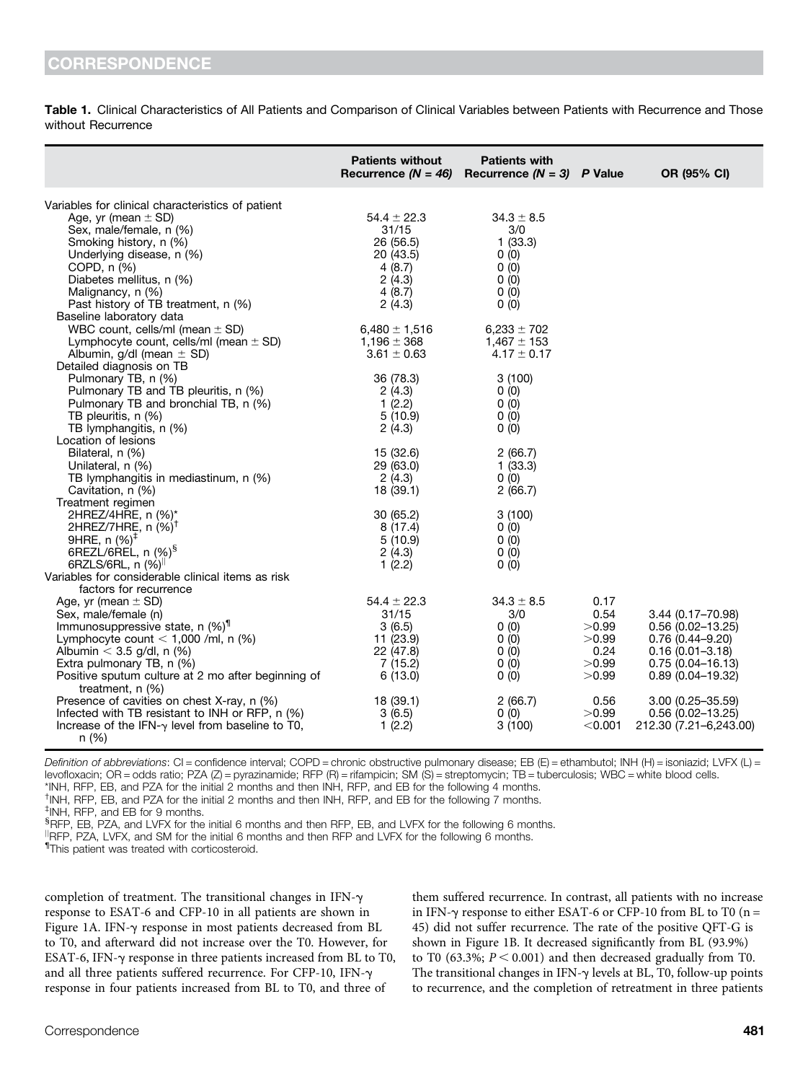Table 1. Clinical Characteristics of All Patients and Comparison of Clinical Variables between Patients with Recurrence and Those without Recurrence

|                                                          | <b>Patients without</b><br>Recurrence $(N = 46)$ | <b>Patients with</b><br>Recurrence $(N = 3)$ P Value |           | OR (95% CI)            |
|----------------------------------------------------------|--------------------------------------------------|------------------------------------------------------|-----------|------------------------|
|                                                          |                                                  |                                                      |           |                        |
| Variables for clinical characteristics of patient        | $54.4 \pm 22.3$                                  | $34.3 \pm 8.5$                                       |           |                        |
| Age, yr (mean $\pm$ SD)                                  |                                                  |                                                      |           |                        |
| Sex, male/female, n (%)                                  | 31/15                                            | 3/0                                                  |           |                        |
| Smoking history, n (%)                                   | 26 (56.5)                                        | 1(33.3)                                              |           |                        |
| Underlying disease, n (%)                                | 20 (43.5)                                        | 0(0)                                                 |           |                        |
| COPD, n (%)                                              | 4(8.7)                                           | 0(0)                                                 |           |                        |
| Diabetes mellitus, n (%)                                 | 2(4.3)                                           | 0(0)                                                 |           |                        |
| Malignancy, n (%)                                        | 4(8.7)                                           | 0(0)                                                 |           |                        |
| Past history of TB treatment, n (%)                      | 2(4.3)                                           | 0(0)                                                 |           |                        |
| Baseline laboratory data                                 |                                                  |                                                      |           |                        |
| WBC count, cells/ml (mean $\pm$ SD)                      | $6,480 \pm 1,516$                                | $6,233 \pm 702$                                      |           |                        |
| Lymphocyte count, cells/ml (mean $\pm$ SD)               | $1,196 \pm 368$                                  | $1,467 \pm 153$                                      |           |                        |
| Albumin, $g/dl$ (mean $\pm$ SD)                          | $3.61 \pm 0.63$                                  | $4.17 \pm 0.17$                                      |           |                        |
| Detailed diagnosis on TB                                 |                                                  |                                                      |           |                        |
| Pulmonary TB, n (%)                                      | 36 (78.3)                                        | 3(100)                                               |           |                        |
| Pulmonary TB and TB pleuritis, n (%)                     | 2(4.3)                                           | 0(0)                                                 |           |                        |
| Pulmonary TB and bronchial TB, n (%)                     | 1(2.2)                                           | 0(0)                                                 |           |                        |
| TB pleuritis, n (%)                                      | 5(10.9)                                          | 0(0)                                                 |           |                        |
| TB lymphangitis, n (%)                                   | 2(4.3)                                           | 0(0)                                                 |           |                        |
| Location of lesions                                      |                                                  |                                                      |           |                        |
| Bilateral, n (%)                                         | 15 (32.6)                                        | 2(66.7)                                              |           |                        |
| Unilateral, n (%)                                        | 29 (63.0)                                        | 1(33.3)                                              |           |                        |
| TB lymphangitis in mediastinum, n (%)                    | 2(4.3)                                           | 0(0)                                                 |           |                        |
| Cavitation, n (%)                                        | 18 (39.1)                                        | 2(66.7)                                              |           |                        |
| Treatment regimen                                        |                                                  |                                                      |           |                        |
| 2HREZ/4HRE, n (%)*                                       | 30 (65.2)                                        | 3(100)                                               |           |                        |
| 2HREZ/7HRE, n (%) <sup>T</sup>                           | 8 (17.4)                                         | 0(0)                                                 |           |                        |
| 9HRE, n (%) <sup>‡</sup>                                 | 5(10.9)                                          | 0(0)                                                 |           |                        |
| 6REZL/6REL, n (%) <sup>§</sup>                           | 2(4.3)                                           | 0(0)                                                 |           |                        |
| 6RZLS/6RL, $n$ (%) <sup>  </sup>                         | 1(2.2)                                           | 0(0)                                                 |           |                        |
| Variables for considerable clinical items as risk        |                                                  |                                                      |           |                        |
| factors for recurrence                                   |                                                  |                                                      |           |                        |
| Age, yr (mean $\pm$ SD)                                  | $54.4 \pm 22.3$                                  | $34.3 \pm 8.5$                                       | 0.17      |                        |
| Sex, male/female (n)                                     | 31/15                                            | 3/0                                                  | 0.54      | 3.44 (0.17-70.98)      |
| Immunosuppressive state, $n$ (%) <sup>1</sup>            | 3(6.5)                                           | 0(0)                                                 | >0.99     | $0.56(0.02 - 13.25)$   |
| Lymphocyte count $<$ 1,000 /ml, n (%)                    | 11 (23.9)                                        | 0(0)                                                 | >0.99     | $0.76(0.44 - 9.20)$    |
| Albumin $<$ 3.5 g/dl, n (%)                              | 22 (47.8)                                        | 0(0)                                                 | 0.24      | $0.16(0.01 - 3.18)$    |
| Extra pulmonary TB, n (%)                                | 7(15.2)                                          | 0(0)                                                 | >0.99     | $0.75(0.04 - 16.13)$   |
| Positive sputum culture at 2 mo after beginning of       | 6(13.0)                                          | 0(0)                                                 | >0.99     | $0.89(0.04 - 19.32)$   |
| treatment, $n$ $(\%)$                                    |                                                  |                                                      |           |                        |
| Presence of cavities on chest X-ray, n (%)               | 18 (39.1)                                        | 2(66.7)                                              | 0.56      | 3.00 (0.25-35.59)      |
| Infected with TB resistant to INH or RFP, n (%)          | 3(6.5)                                           | 0(0)                                                 | >0.99     | $0.56(0.02 - 13.25)$   |
| Increase of the IFN- $\gamma$ level from baseline to T0, | 1(2.2)                                           | 3(100)                                               | $<$ 0.001 | 212.30 (7.21-6,243.00) |
| n (%)                                                    |                                                  |                                                      |           |                        |

Definition of abbreviations: CI = confidence interval; COPD = chronic obstructive pulmonary disease; EB (E) = ethambutol; INH (H) = isoniazid; LVFX (L) = levofloxacin; OR = odds ratio; PZA (Z) = pyrazinamide; RFP (R) = rifampicin; SM (S) = streptomycin; TB = tuberculosis; WBC = white blood cells. \*INH, RFP, EB, and PZA for the initial 2 months and then INH, RFP, and EB for the following 4 months.

† INH, RFP, EB, and PZA for the initial 2 months and then INH, RFP, and EB for the following 7 months.

‡ INH, RFP, and EB for 9 months.

x RFP, EB, PZA, and LVFX for the initial 6 months and then RFP, EB, and LVFX for the following 6 months.

 $\parallel$ RFP, PZA, LVFX, and SM for the initial 6 months and then RFP and LVFX for the following 6 months.

*IThis patient was treated with corticosteroid.* 

completion of treatment. The transitional changes in  $IFN-\gamma$ response to ESAT-6 and CFP-10 in all patients are shown in Figure 1A. IFN-g response in most patients decreased from BL to T0, and afterward did not increase over the T0. However, for ESAT-6, IFN- $\gamma$  response in three patients increased from BL to T0, and all three patients suffered recurrence. For CFP-10, IFN- $\gamma$ response in four patients increased from BL to T0, and three of

them suffered recurrence. In contrast, all patients with no increase in IFN- $\gamma$  response to either ESAT-6 or CFP-10 from BL to T0 (n = 45) did not suffer recurrence. The rate of the positive QFT-G is shown in Figure 1B. It decreased significantly from BL (93.9%) to T0 (63.3%;  $P < 0.001$ ) and then decreased gradually from T0. The transitional changes in IFN- $\gamma$  levels at BL, T0, follow-up points to recurrence, and the completion of retreatment in three patients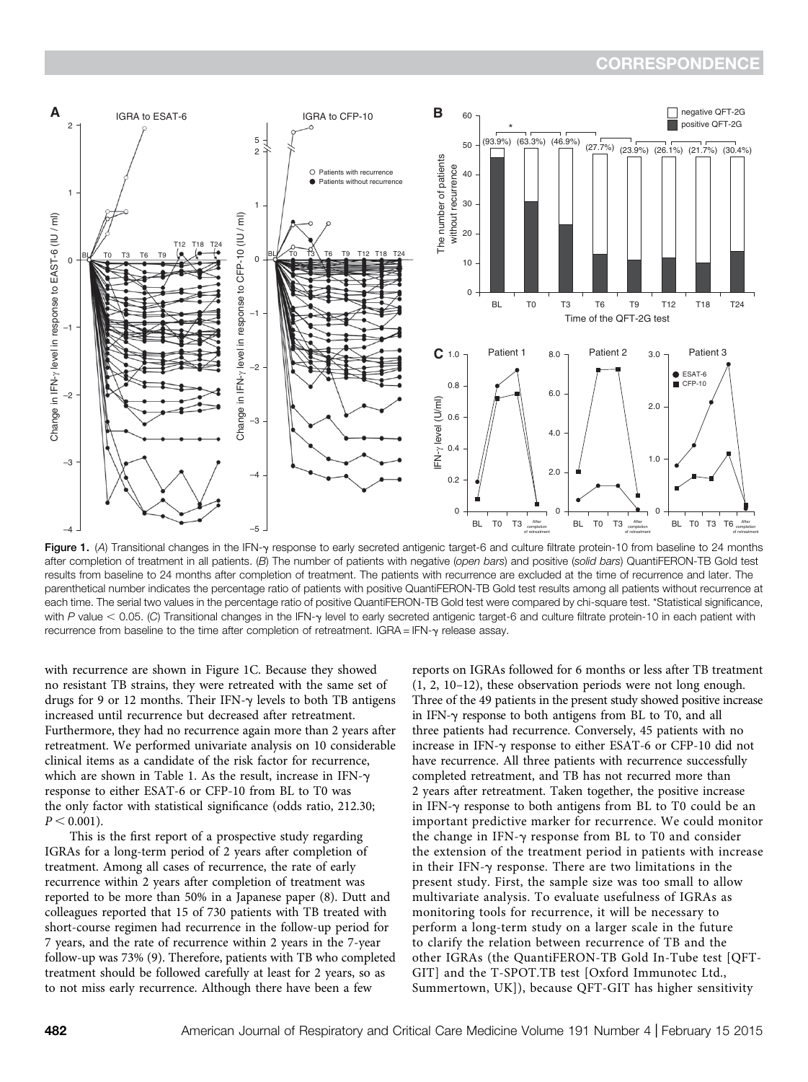

Figure 1. (A) Transitional changes in the IFN-y response to early secreted antigenic target-6 and culture filtrate protein-10 from baseline to 24 months after completion of treatment in all patients. (B) The number of patients with negative (open bars) and positive (solid bars) QuantiFERON-TB Gold test results from baseline to 24 months after completion of treatment. The patients with recurrence are excluded at the time of recurrence and later. The parenthetical number indicates the percentage ratio of patients with positive QuantiFERON-TB Gold test results among all patients without recurrence at each time. The serial two values in the percentage ratio of positive QuantiFERON-TB Gold test were compared by chi-square test. \*Statistical significance, with P value < 0.05. (C) Transitional changes in the IFN-y level to early secreted antigenic target-6 and culture filtrate protein-10 in each patient with recurrence from baseline to the time after completion of retreatment. IGRA = IFN- $\gamma$  release assay.

with recurrence are shown in Figure 1C. Because they showed no resistant TB strains, they were retreated with the same set of drugs for 9 or 12 months. Their IFN- $\gamma$  levels to both TB antigens increased until recurrence but decreased after retreatment. Furthermore, they had no recurrence again more than 2 years after retreatment. We performed univariate analysis on 10 considerable clinical items as a candidate of the risk factor for recurrence, which are shown in Table 1. As the result, increase in IFN- $\gamma$ response to either ESAT-6 or CFP-10 from BL to T0 was the only factor with statistical significance (odds ratio, 212.30;  $P < 0.001$ ).

This is the first report of a prospective study regarding IGRAs for a long-term period of 2 years after completion of treatment. Among all cases of recurrence, the rate of early recurrence within 2 years after completion of treatment was reported to be more than 50% in a Japanese paper (8). Dutt and colleagues reported that 15 of 730 patients with TB treated with short-course regimen had recurrence in the follow-up period for 7 years, and the rate of recurrence within 2 years in the 7-year follow-up was 73% (9). Therefore, patients with TB who completed treatment should be followed carefully at least for 2 years, so as to not miss early recurrence. Although there have been a few

reports on IGRAs followed for 6 months or less after TB treatment (1, 2, 10–12), these observation periods were not long enough. Three of the 49 patients in the present study showed positive increase in IFN- $\gamma$  response to both antigens from BL to T0, and all three patients had recurrence. Conversely, 45 patients with no increase in IFN- $\gamma$  response to either ESAT-6 or CFP-10 did not have recurrence. All three patients with recurrence successfully completed retreatment, and TB has not recurred more than 2 years after retreatment. Taken together, the positive increase in IFN- $\gamma$  response to both antigens from BL to T0 could be an important predictive marker for recurrence. We could monitor the change in  $IFN-\gamma$  response from BL to T0 and consider the extension of the treatment period in patients with increase in their IFN- $\gamma$  response. There are two limitations in the present study. First, the sample size was too small to allow multivariate analysis. To evaluate usefulness of IGRAs as monitoring tools for recurrence, it will be necessary to perform a long-term study on a larger scale in the future to clarify the relation between recurrence of TB and the other IGRAs (the QuantiFERON-TB Gold In-Tube test [QFT-GIT] and the T-SPOT.TB test [Oxford Immunotec Ltd., Summertown, UK]), because QFT-GIT has higher sensitivity